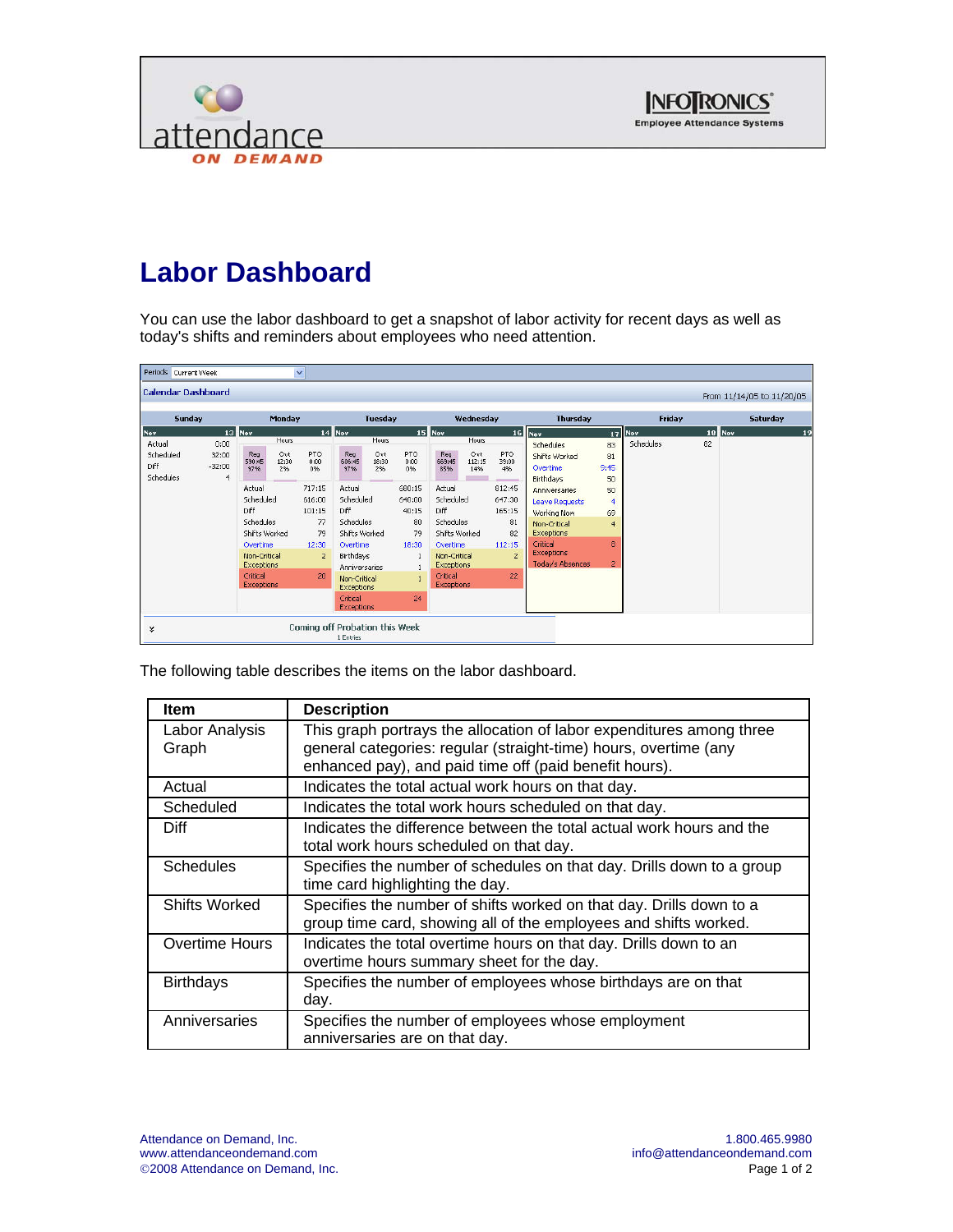



## **Labor Dashboard**

You can use the labor dashboard to get a snapshot of labor activity for recent days as well as today's shifts and reminders about employees who need attention.

| Periods Current Week                            |                                |                                                                                                                                                                        |                             | $\checkmark$                                                                                 |                                                                                                                                                                             |                             |                                                                     |                                                                                                                                                                                 |                               |                                                                                                       |                                                                                                                                                                                                           |                                                                                               |                     |                 |                           |
|-------------------------------------------------|--------------------------------|------------------------------------------------------------------------------------------------------------------------------------------------------------------------|-----------------------------|----------------------------------------------------------------------------------------------|-----------------------------------------------------------------------------------------------------------------------------------------------------------------------------|-----------------------------|---------------------------------------------------------------------|---------------------------------------------------------------------------------------------------------------------------------------------------------------------------------|-------------------------------|-------------------------------------------------------------------------------------------------------|-----------------------------------------------------------------------------------------------------------------------------------------------------------------------------------------------------------|-----------------------------------------------------------------------------------------------|---------------------|-----------------|---------------------------|
| <b>Calendar Dashboard</b>                       |                                |                                                                                                                                                                        |                             |                                                                                              |                                                                                                                                                                             |                             |                                                                     |                                                                                                                                                                                 |                               |                                                                                                       |                                                                                                                                                                                                           |                                                                                               |                     |                 | From 11/14/05 to 11/20/05 |
| <b>Sunday</b>                                   | Monday                         |                                                                                                                                                                        |                             | <b>Tuesday</b>                                                                               |                                                                                                                                                                             |                             | Wednesday                                                           |                                                                                                                                                                                 |                               | <b>Thursday</b>                                                                                       |                                                                                                                                                                                                           | Friday                                                                                        |                     | <b>Saturday</b> |                           |
| Nov<br>Actual<br>Scheduled<br>Diff<br>Schedules | 0:00<br>32:00<br>$-32:00$<br>4 | 13 Nov<br>Reg<br>590:45<br>97%<br>Actual<br>Scheduled<br>Diff<br><b>Schedules</b><br>Shifts Worked<br>Overtime<br>Non-Critical<br>Exceptions<br>Critical<br>Exceptions | Hours<br>Out<br>12:30<br>2% | PTO<br>0:00<br>0%<br>717:15<br>616:00<br>101:15<br>77<br>79<br>12:30<br>$\overline{2}$<br>20 | 14 Nov<br>Reg<br>606:45<br>9796<br>Actual<br>Scheduled<br>Diff<br>Schedules<br>Shifts Worked<br>Overtime<br>Birthdays<br>Anniversaries<br>Non-Critical<br><b>Exceptions</b> | Hours<br>Ovt<br>18:30<br>2% | PTO<br>0:00<br>0%<br>680:15<br>640:00<br>40:15<br>80<br>79<br>18:30 | $15$ Nov<br>Reg<br>669:45<br>85%<br>Actual<br>Scheduled<br>Diff<br>Schedules<br>Shifts Worked<br>Overtime<br>Non-Critical<br><b>Exceptions</b><br>Critical<br><b>Exceptions</b> | Hours<br>Ovt<br>112:15<br>14% | <b>PTO</b><br>39:00<br>4%<br>812:45<br>647:30<br>165:15<br>81<br>82<br>112:15<br>$\overline{z}$<br>22 | 16 Nov<br>Schedules<br>Shifts Worked<br>Overtime<br>Birthdays<br>Anniversaries<br>Leave Requests<br>Working Now<br>Non-Critical<br>Exceptions<br>Critical<br><b>Exceptions</b><br><b>Today's Absences</b> | 83<br>81<br>9:45<br>50<br>50<br>$\overline{4}$<br>69<br>$\overline{4}$<br>8<br>$\overline{2}$ | 17 Nov<br>Schedules | 82              | 19<br>18 Nov              |
| ¥                                               |                                |                                                                                                                                                                        |                             | Coming off Probation this Week                                                               | Critical<br>Exceptions<br>1 Entries                                                                                                                                         |                             | 24                                                                  |                                                                                                                                                                                 |                               |                                                                                                       |                                                                                                                                                                                                           |                                                                                               |                     |                 |                           |

The following table describes the items on the labor dashboard.

| <b>Item</b>             | <b>Description</b>                                                                                                                                                                                 |
|-------------------------|----------------------------------------------------------------------------------------------------------------------------------------------------------------------------------------------------|
| Labor Analysis<br>Graph | This graph portrays the allocation of labor expenditures among three<br>general categories: regular (straight-time) hours, overtime (any<br>enhanced pay), and paid time off (paid benefit hours). |
| Actual                  | Indicates the total actual work hours on that day.                                                                                                                                                 |
| Scheduled               | Indicates the total work hours scheduled on that day.                                                                                                                                              |
| <b>Diff</b>             | Indicates the difference between the total actual work hours and the<br>total work hours scheduled on that day.                                                                                    |
| <b>Schedules</b>        | Specifies the number of schedules on that day. Drills down to a group<br>time card highlighting the day.                                                                                           |
| Shifts Worked           | Specifies the number of shifts worked on that day. Drills down to a<br>group time card, showing all of the employees and shifts worked.                                                            |
| <b>Overtime Hours</b>   | Indicates the total overtime hours on that day. Drills down to an<br>overtime hours summary sheet for the day.                                                                                     |
| <b>Birthdays</b>        | Specifies the number of employees whose birthdays are on that<br>day.                                                                                                                              |
| Anniversaries           | Specifies the number of employees whose employment<br>anniversaries are on that day.                                                                                                               |